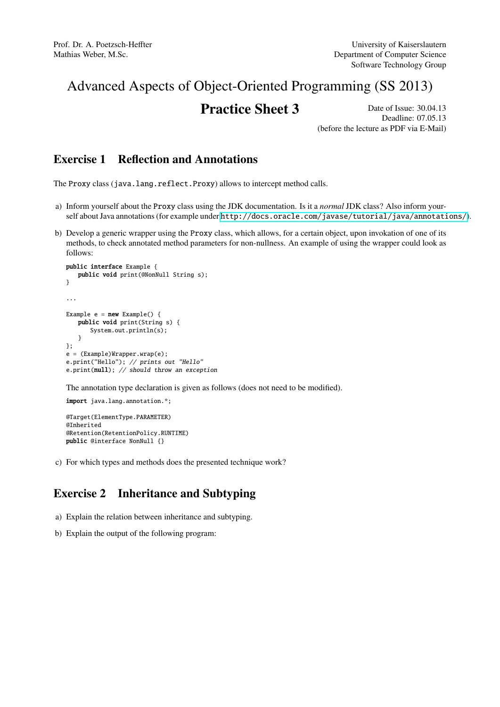# Advanced Aspects of Object-Oriented Programming (SS 2013)

# **Practice Sheet 3** Date of Issue: 30.04.13

Deadline: 07.05.13 (before the lecture as PDF via E-Mail)

## Exercise 1 Reflection and Annotations

The Proxy class (java.lang.reflect.Proxy) allows to intercept method calls.

- a) Inform yourself about the Proxy class using the JDK documentation. Is it a *normal* JDK class? Also inform yourself about Java annotations (for example under <http://docs.oracle.com/javase/tutorial/java/annotations/>).
- b) Develop a generic wrapper using the Proxy class, which allows, for a certain object, upon invokation of one of its methods, to check annotated method parameters for non-nullness. An example of using the wrapper could look as follows:

```
public interface Example {
   public void print(@NonNull String s);
}
...
Example e = new Example() {
   public void print(String s) {
      System.out.println(s);
   }
};
e = (Example)Wrapper.wrap(e);
e.print("Hello"); // prints out "Hello"
e.print(null); // should throw an exception
```
The annotation type declaration is given as follows (does not need to be modified).

import java.lang.annotation.\*; @Target(ElementType.PARAMETER) @Inherited @Retention(RetentionPolicy.RUNTIME) public @interface NonNull {}

c) For which types and methods does the presented technique work?

# Exercise 2 Inheritance and Subtyping

- a) Explain the relation between inheritance and subtyping.
- b) Explain the output of the following program: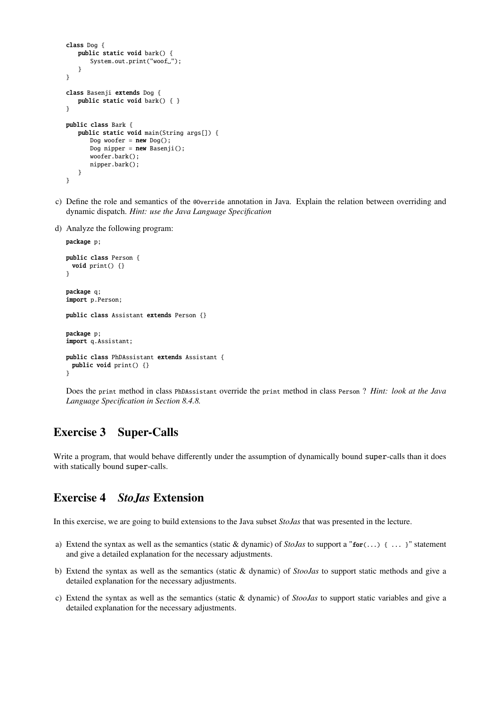```
class Dog {
   public static void bark() {
      System.out.print("woof_");
   }
}
class Basenji extends Dog {
   public static void bark() { }
}
public class Bark {
   public static void main(String args[]) {
      Dog woofer = new Dog();
      Dog nipper = new Basenji();
      woofer.bark();
      nipper.bark();
   }
}
```
- c) Define the role and semantics of the @Override annotation in Java. Explain the relation between overriding and dynamic dispatch. *Hint: use the Java Language Specification*
- d) Analyze the following program:

```
package p;
public class Person {
 void print() {}
}
package q;
import p.Person;
public class Assistant extends Person {}
package p;
import q.Assistant;
public class PhDAssistant extends Assistant {
  public void print() {}
}
```
Does the print method in class PhDAssistant override the print method in class Person ? *Hint: look at the Java Language Specification in Section 8.4.8.*

## Exercise 3 Super-Calls

Write a program, that would behave differently under the assumption of dynamically bound super-calls than it does with statically bound super-calls.

#### Exercise 4 *StoJas* Extension

In this exercise, we are going to build extensions to the Java subset *StoJas* that was presented in the lecture.

- a) Extend the syntax as well as the semantics (static & dynamic) of *StoJas* to support a "for(...) { ... }" statement and give a detailed explanation for the necessary adjustments.
- b) Extend the syntax as well as the semantics (static & dynamic) of *StooJas* to support static methods and give a detailed explanation for the necessary adjustments.
- c) Extend the syntax as well as the semantics (static & dynamic) of *StooJas* to support static variables and give a detailed explanation for the necessary adjustments.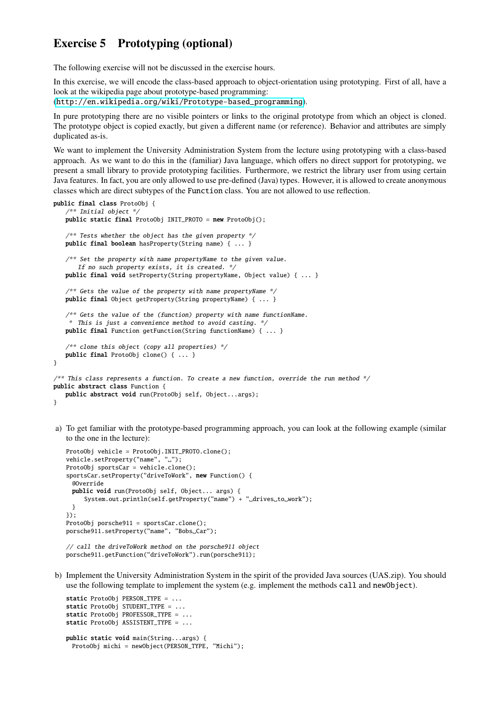## Exercise 5 Prototyping (optional)

The following exercise will not be discussed in the exercise hours.

In this exercise, we will encode the class-based approach to object-orientation using prototyping. First of all, have a look at the wikipedia page about prototype-based programming: ([http://en.wikipedia.org/wiki/Prototype-based\\_programming](http://en.wikipedia.org/wiki/Prototype-based_programming)).

In pure prototyping there are no visible pointers or links to the original prototype from which an object is cloned. The prototype object is copied exactly, but given a different name (or reference). Behavior and attributes are simply duplicated as-is.

We want to implement the University Administration System from the lecture using prototyping with a class-based approach. As we want to do this in the (familiar) Java language, which offers no direct support for prototyping, we present a small library to provide prototyping facilities. Furthermore, we restrict the library user from using certain Java features. In fact, you are only allowed to use pre-defined (Java) types. However, it is allowed to create anonymous classes which are direct subtypes of the Function class. You are not allowed to use reflection.

```
public final class ProtoObj {
   /** Initial object */
   public static final ProtoObj INIT PROTO = new ProtoObj();
   /* Tests whether the object has the given property */public final boolean hasProperty(String name) { ... }
   /* Set the property with name propertyName to the given value.
       If no such property exists, it is created. */
   public final void setProperty(String propertyName, Object value) { ... }
   /* Gets the value of the property with name propertyName */public final Object getProperty(String propertyName) { ... }
   /* Gets the value of the (function) property with name functionName.
    * This is just a convenience method to avoid casting. */
   public final Function getFunction(String functionName) { ... }
   /** clone this object (copy all properties) */public final ProtoObj clone() { ... }
}
/** This class represents a function. To create a new function, override the run method */
public abstract class Function {
   public abstract void run(ProtoObj self, Object...args);
```
- }
- a) To get familiar with the prototype-based programming approach, you can look at the following example (similar to the one in the lecture):

```
ProtoObj vehicle = ProtoObj.INIT_PROTO.clone();
vehicle.setProperty("name", ".");
ProtoObj sportsCar = vehicle.clone();
sportsCar.setProperty("driveToWork", new Function() {
 @Override
 public void run(ProtoObj self, Object... args) {
     System.out.println(self.getProperty("name") + "_drives_to_work");
 }
});
ProtoObj porsche911 = sportsCar.clone();
porsche911.setProperty("name", "Bobs_Car");
```

```
// call the driveToWork method on the porsche911 object
porsche911.getFunction("driveToWork").run(porsche911);
```
b) Implement the University Administration System in the spirit of the provided Java sources (UAS.zip). You should use the following template to implement the system (e.g. implement the methods call and newObject).

```
static ProtoObj PERSON_TYPE = ...
static ProtoObj STUDENT_TYPE = ...
static ProtoObj PROFESSOR_TYPE = ...
static ProtoObj ASSISTENT_TYPE = ...
public static void main(String...args) {
 ProtoObj michi = newObject(PERSON_TYPE, "Michi");
```